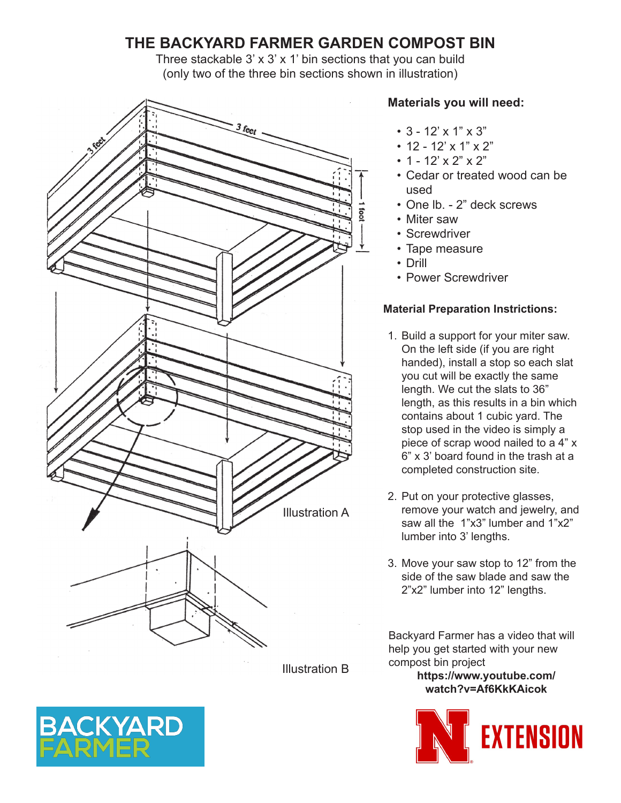# **THE BACKYARD FARMER GARDEN COMPOST BIN**

Three stackable  $3' \times 3' \times 1'$  bin sections that you can build (only two of the three bin sections shown in illustration)



Illustration B

## **Materials you will need:**

- 3 12' x 1" x 3"
- 12 12' x 1" x 2"
- 1 12' x 2" x 2"
- Cedar or treated wood can be used
- One lb. 2" deck screws
- Miter saw
- Screwdriver
- Tape measure
- Drill
- Power Screwdriver

## **Material Preparation Instrictions:**

- 1. Build a support for your miter saw. On the left side (if you are right handed), install a stop so each slat you cut will be exactly the same length. We cut the slats to 36" length, as this results in a bin which contains about 1 cubic yard. The stop used in the video is simply a piece of scrap wood nailed to a 4" x 6" x 3' board found in the trash at a completed construction site.
- 2. Put on your protective glasses, remove your watch and jewelry, and saw all the 1"x3" lumber and 1"x2" lumber into 3' lengths.
- 3. Move your saw stop to 12" from the side of the saw blade and saw the 2"x2" lumber into 12" lengths.

Backyard Farmer has a video that will help you get started with your new compost bin project

> **https://www.youtube.com/ watch?v=Af6KkKAicok**



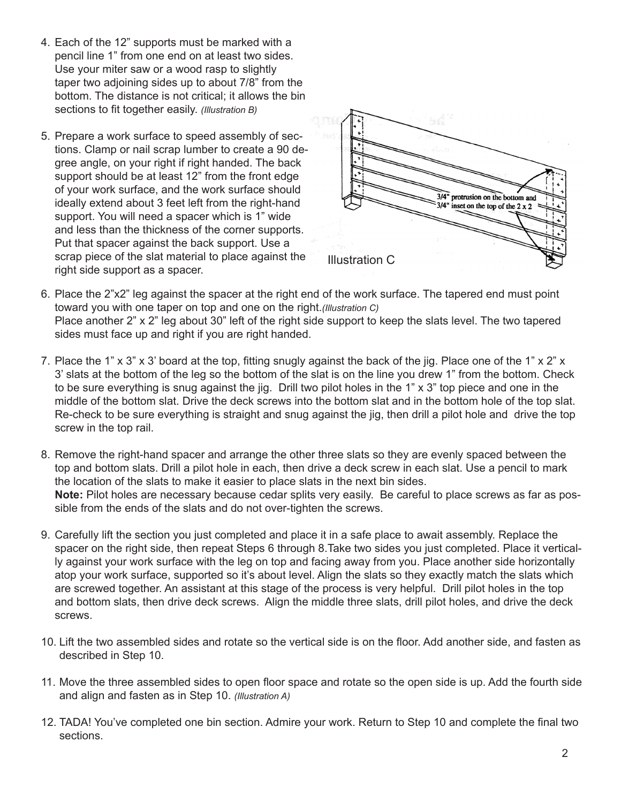- 4. Each of the 12" supports must be marked with a pencil line 1" from one end on at least two sides. Use your miter saw or a wood rasp to slightly taper two adjoining sides up to about 7/8" from the bottom. The distance is not critical; it allows the bin sections to fit together easily. *(Illustration B)*
- 5. Prepare a work surface to speed assembly of sections. Clamp or nail scrap lumber to create a 90 degree angle, on your right if right handed. The back support should be at least 12" from the front edge of your work surface, and the work surface should ideally extend about 3 feet left from the right-hand support. You will need a spacer which is 1" wide and less than the thickness of the corner supports. Put that spacer against the back support. Use a scrap piece of the slat material to place against the right side support as a spacer.



- 6. Place the 2"x2" leg against the spacer at the right end of the work surface. The tapered end must point toward you with one taper on top and one on the right.*(Illustration C)* Place another 2" x 2" leg about 30" left of the right side support to keep the slats level. The two tapered sides must face up and right if you are right handed.
- 7. Place the 1" x 3" x 3' board at the top, fitting snugly against the back of the jig. Place one of the 1" x 2" x 3' slats at the bottom of the leg so the bottom of the slat is on the line you drew 1" from the bottom. Check to be sure everything is snug against the jig. Drill two pilot holes in the 1" x 3" top piece and one in the middle of the bottom slat. Drive the deck screws into the bottom slat and in the bottom hole of the top slat. Re-check to be sure everything is straight and snug against the jig, then drill a pilot hole and drive the top screw in the top rail.
- 8. Remove the right-hand spacer and arrange the other three slats so they are evenly spaced between the top and bottom slats. Drill a pilot hole in each, then drive a deck screw in each slat. Use a pencil to mark the location of the slats to make it easier to place slats in the next bin sides. **Note:** Pilot holes are necessary because cedar splits very easily. Be careful to place screws as far as possible from the ends of the slats and do not over-tighten the screws.
- 9. Carefully lift the section you just completed and place it in a safe place to await assembly. Replace the spacer on the right side, then repeat Steps 6 through 8.Take two sides you just completed. Place it vertically against your work surface with the leg on top and facing away from you. Place another side horizontally atop your work surface, supported so it's about level. Align the slats so they exactly match the slats which are screwed together. An assistant at this stage of the process is very helpful. Drill pilot holes in the top and bottom slats, then drive deck screws. Align the middle three slats, drill pilot holes, and drive the deck screws.
- 10. Lift the two assembled sides and rotate so the vertical side is on the floor. Add another side, and fasten as described in Step 10.
- 11. Move the three assembled sides to open floor space and rotate so the open side is up. Add the fourth side and align and fasten as in Step 10. *(Illustration A)*
- 12. TADA! You've completed one bin section. Admire your work. Return to Step 10 and complete the final two sections.